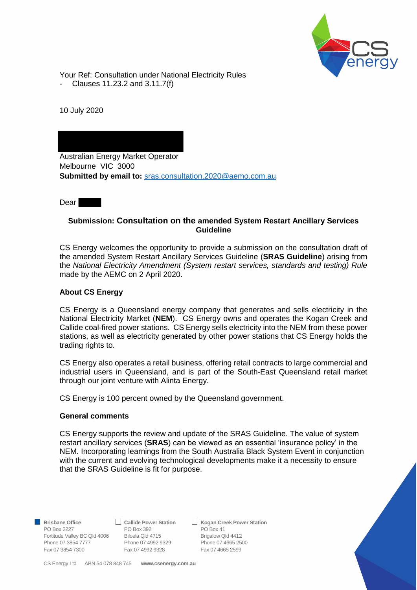

Your Ref: Consultation under National Electricity Rules

- Clauses 11.23.2 and 3.11.7(f)

10 July 2020

Australian Energy Market Operator Melbourne VIC 3000 **Submitted by email to:** [sras.consultation.2020@aemo.com.au](mailto:sras.consultation.2020@aemo.com.au)

**Dear** 

# **Submission: Consultation on the amended System Restart Ancillary Services Guideline**

CS Energy welcomes the opportunity to provide a submission on the consultation draft of the amended System Restart Ancillary Services Guideline (**SRAS Guideline**) arising from the *National Electricity Amendment (System restart services, standards and testing) Rule* made by the AEMC on 2 April 2020.

# **About CS Energy**

CS Energy is a Queensland energy company that generates and sells electricity in the National Electricity Market (**NEM**). CS Energy owns and operates the Kogan Creek and Callide coal-fired power stations. CS Energy sells electricity into the NEM from these power stations, as well as electricity generated by other power stations that CS Energy holds the trading rights to.

CS Energy also operates a retail business, offering retail contracts to large commercial and industrial users in Queensland, and is part of the South-East Queensland retail market through our joint venture with Alinta Energy.

CS Energy is 100 percent owned by the Queensland government.

## **General comments**

CS Energy supports the review and update of the SRAS Guideline. The value of system restart ancillary services (**SRAS**) can be viewed as an essential 'insurance policy' in the NEM. Incorporating learnings from the South Australia Black System Event in conjunction with the current and evolving technological developments make it a necessity to ensure that the SRAS Guideline is fit for purpose.

PO Box 2227 PO Box 392 PO Box 41 Fortitude Valley BC Qld 4006 Biloela Qld 4715 Brigalow Qld 4412 Phone 07 3854 7777 Phone 07 4992 9329 Phone 07 4665 2500

Fax 07 3854 7300 Fax 07 4992 9328 Fax 07 4665 2599

■ Brisbane Office **Britannia Callide Power Station** ■ Kogan Creek Power Station

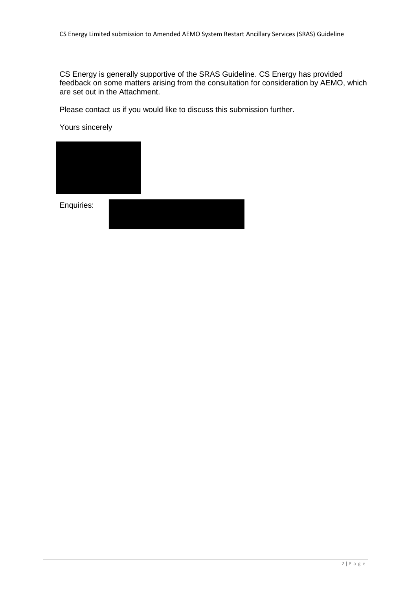CS Energy is generally supportive of the SRAS Guideline. CS Energy has provided feedback on some matters arising from the consultation for consideration by AEMO, which are set out in the Attachment.

Please contact us if you would like to discuss this submission further.

Yours sincerely



Enquiries: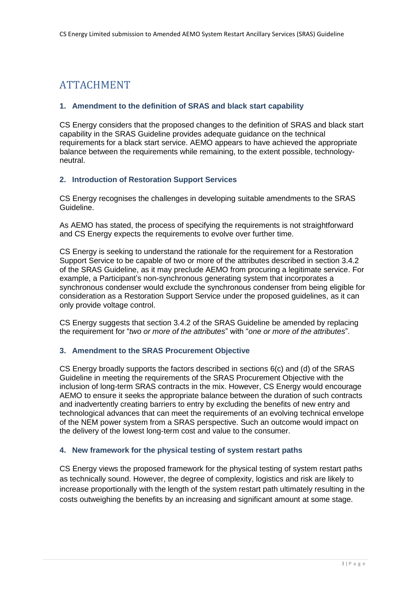# ATTACHMENT

### **1. Amendment to the definition of SRAS and black start capability**

CS Energy considers that the proposed changes to the definition of SRAS and black start capability in the SRAS Guideline provides adequate guidance on the technical requirements for a black start service. AEMO appears to have achieved the appropriate balance between the requirements while remaining, to the extent possible, technologyneutral.

#### **2. Introduction of Restoration Support Services**

CS Energy recognises the challenges in developing suitable amendments to the SRAS Guideline.

As AEMO has stated, the process of specifying the requirements is not straightforward and CS Energy expects the requirements to evolve over further time.

CS Energy is seeking to understand the rationale for the requirement for a Restoration Support Service to be capable of two or more of the attributes described in section 3.4.2 of the SRAS Guideline, as it may preclude AEMO from procuring a legitimate service. For example, a Participant's non-synchronous generating system that incorporates a synchronous condenser would exclude the synchronous condenser from being eligible for consideration as a Restoration Support Service under the proposed guidelines, as it can only provide voltage control.

CS Energy suggests that section 3.4.2 of the SRAS Guideline be amended by replacing the requirement for "*two or more of the attributes*" with "*one or more of the attributes*".

#### **3. Amendment to the SRAS Procurement Objective**

CS Energy broadly supports the factors described in sections 6(c) and (d) of the SRAS Guideline in meeting the requirements of the SRAS Procurement Objective with the inclusion of long-term SRAS contracts in the mix. However, CS Energy would encourage AEMO to ensure it seeks the appropriate balance between the duration of such contracts and inadvertently creating barriers to entry by excluding the benefits of new entry and technological advances that can meet the requirements of an evolving technical envelope of the NEM power system from a SRAS perspective. Such an outcome would impact on the delivery of the lowest long-term cost and value to the consumer.

#### **4. New framework for the physical testing of system restart paths**

CS Energy views the proposed framework for the physical testing of system restart paths as technically sound. However, the degree of complexity, logistics and risk are likely to increase proportionally with the length of the system restart path ultimately resulting in the costs outweighing the benefits by an increasing and significant amount at some stage.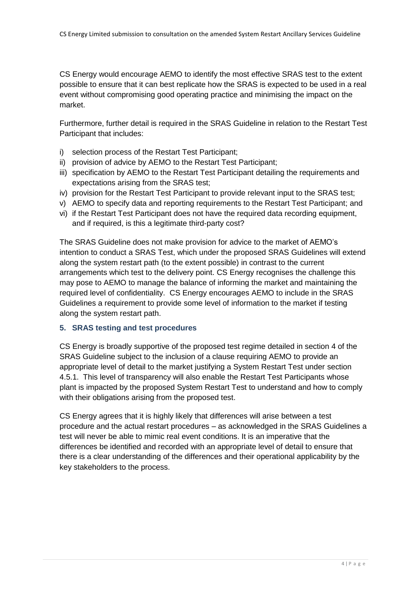CS Energy would encourage AEMO to identify the most effective SRAS test to the extent possible to ensure that it can best replicate how the SRAS is expected to be used in a real event without compromising good operating practice and minimising the impact on the market.

Furthermore, further detail is required in the SRAS Guideline in relation to the Restart Test Participant that includes:

- i) selection process of the Restart Test Participant;
- ii) provision of advice by AEMO to the Restart Test Participant;
- iii) specification by AEMO to the Restart Test Participant detailing the requirements and expectations arising from the SRAS test;
- iv) provision for the Restart Test Participant to provide relevant input to the SRAS test;
- v) AEMO to specify data and reporting requirements to the Restart Test Participant; and
- vi) if the Restart Test Participant does not have the required data recording equipment, and if required, is this a legitimate third-party cost?

The SRAS Guideline does not make provision for advice to the market of AEMO's intention to conduct a SRAS Test, which under the proposed SRAS Guidelines will extend along the system restart path (to the extent possible) in contrast to the current arrangements which test to the delivery point. CS Energy recognises the challenge this may pose to AEMO to manage the balance of informing the market and maintaining the required level of confidentiality. CS Energy encourages AEMO to include in the SRAS Guidelines a requirement to provide some level of information to the market if testing along the system restart path.

## **5. SRAS testing and test procedures**

CS Energy is broadly supportive of the proposed test regime detailed in section 4 of the SRAS Guideline subject to the inclusion of a clause requiring AEMO to provide an appropriate level of detail to the market justifying a System Restart Test under section 4.5.1. This level of transparency will also enable the Restart Test Participants whose plant is impacted by the proposed System Restart Test to understand and how to comply with their obligations arising from the proposed test.

CS Energy agrees that it is highly likely that differences will arise between a test procedure and the actual restart procedures – as acknowledged in the SRAS Guidelines a test will never be able to mimic real event conditions. It is an imperative that the differences be identified and recorded with an appropriate level of detail to ensure that there is a clear understanding of the differences and their operational applicability by the key stakeholders to the process.